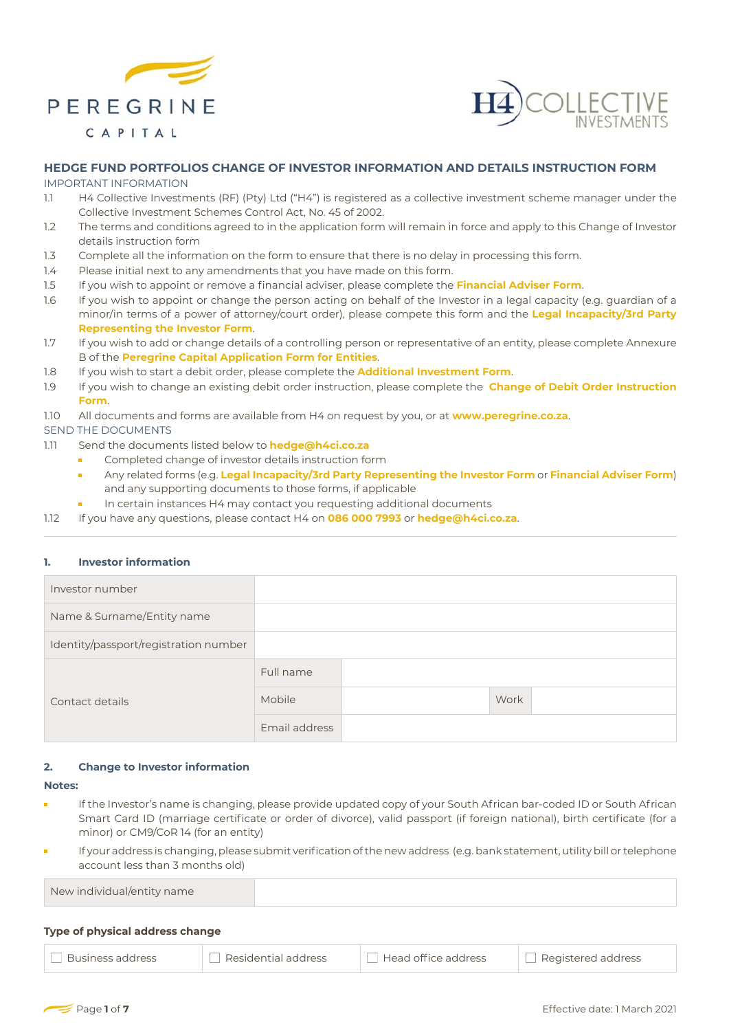



# **HEDGE FUND PORTFOLIOS CHANGE OF INVESTOR INFORMATION AND DETAILS INSTRUCTION FORM**

IMPORTANT INFORMATION

- 1.1 H4 Collective Investments (RF) (Pty) Ltd ("H4") is registered as a collective investment scheme manager under the Collective Investment Schemes Control Act, No. 45 of 2002.
- 1.2 The terms and conditions agreed to in the application form will remain in force and apply to this Change of Investor details instruction form
- 1.3 Complete all the information on the form to ensure that there is no delay in processing this form.
- 1.4 Please initial next to any amendments that you have made on this form.
- 1.5 If you wish to appoint or remove a financial adviser, please complete the **Financial Adviser Form**.
- 1.6 If you wish to appoint or change the person acting on behalf of the Investor in a legal capacity (e.g. guardian of a minor/in terms of a power of attorney/court order), please compete this form and the **Legal Incapacity/3rd Party Representing the Investor Form**.
- 1.7 If you wish to add or change details of a controlling person or representative of an entity, please complete Annexure B of the **Peregrine Capital Application Form for Entities**.
- 1.8 If you wish to start a debit order, please complete the **Additional Investment Form**.
- 1.9 If you wish to change an existing debit order instruction, please complete the **Change of Debit Order Instruction Form**.
- 1.10 All documents and forms are available from H4 on request by you, or at **www.peregrine.co.za**.

SEND THE DOCUMENTS

- 1.11 Send the documents listed below to **hedge@h4ci.co.za**
	- Completed change of investor details instruction form
	- Any related forms (e.g. **Legal Incapacity/3rd Party Representing the Investor Form** or **Financial Adviser Form**) and any supporting documents to those forms, if applicable
	- In certain instances H4 may contact you requesting additional documents
- 1.12 If you have any questions, please contact H4 on **086 000 7993** or **hedge@h4ci.co.za**.

# **1. Investor information**

| Investor number                       |               |      |  |
|---------------------------------------|---------------|------|--|
| Name & Surname/Entity name            |               |      |  |
| Identity/passport/registration number |               |      |  |
|                                       | Full name     |      |  |
| Contact details                       | <b>Mobile</b> | Work |  |
|                                       | Email address |      |  |

#### **2. Change to Investor information**

#### **Notes:**

- If the Investor's name is changing, please provide updated copy of your South African bar-coded ID or South African Smart Card ID (marriage certificate or order of divorce), valid passport (if foreign national), birth certificate (for a minor) or CM9/CoR 14 (for an entity)
- If your address is changing, please submit verification of the new address (e.g. bank statement, utility bill or telephone account less than 3 months old)

New individual/entity name

# **Type of physical address change**

| Business address | Residential address | $\top$ Head office address | Registered address |
|------------------|---------------------|----------------------------|--------------------|
|------------------|---------------------|----------------------------|--------------------|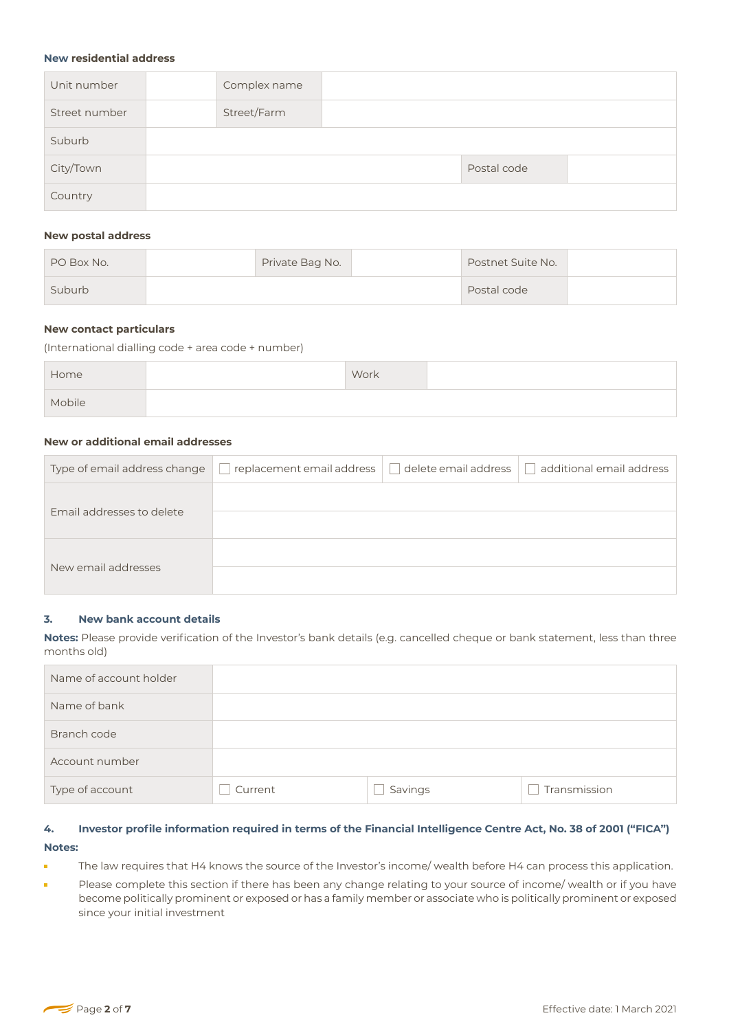#### **New residential address**

| Unit number   | Complex name |  |             |  |
|---------------|--------------|--|-------------|--|
| Street number | Street/Farm  |  |             |  |
| Suburb        |              |  |             |  |
| City/Town     |              |  | Postal code |  |
| Country       |              |  |             |  |

## **New postal address**

| PO Box No. | Private Bag No. | Postnet Suite No. |  |
|------------|-----------------|-------------------|--|
| Suburb     |                 | Postal code       |  |

## **New contact particulars**

(International dialling code + area code + number)

| Home   | Work |  |
|--------|------|--|
| Mobile |      |  |

# **New or additional email addresses**

| Type of email address change | replacement email address | delete email address | additional email address |
|------------------------------|---------------------------|----------------------|--------------------------|
| Email addresses to delete    |                           |                      |                          |
|                              |                           |                      |                          |
|                              |                           |                      |                          |
| New email addresses          |                           |                      |                          |

#### **3. New bank account details**

**Notes:** Please provide verification of the Investor's bank details (e.g. cancelled cheque or bank statement, less than three months old)

| Name of account holder |         |         |              |
|------------------------|---------|---------|--------------|
| Name of bank           |         |         |              |
| Branch code            |         |         |              |
| Account number         |         |         |              |
| Type of account        | Current | Savings | Transmission |

# 4. Investor profile information required in terms of the Financial Intelligence Centre Act, No. 38 of 2001 ("FICA") **Notes:**

- The law requires that H4 knows the source of the Investor's income/ wealth before H4 can process this application. i.
- Please complete this section if there has been any change relating to your source of income/ wealth or if you have É become politically prominent or exposed or has a family member or associate who is politically prominent or exposed since your initial investment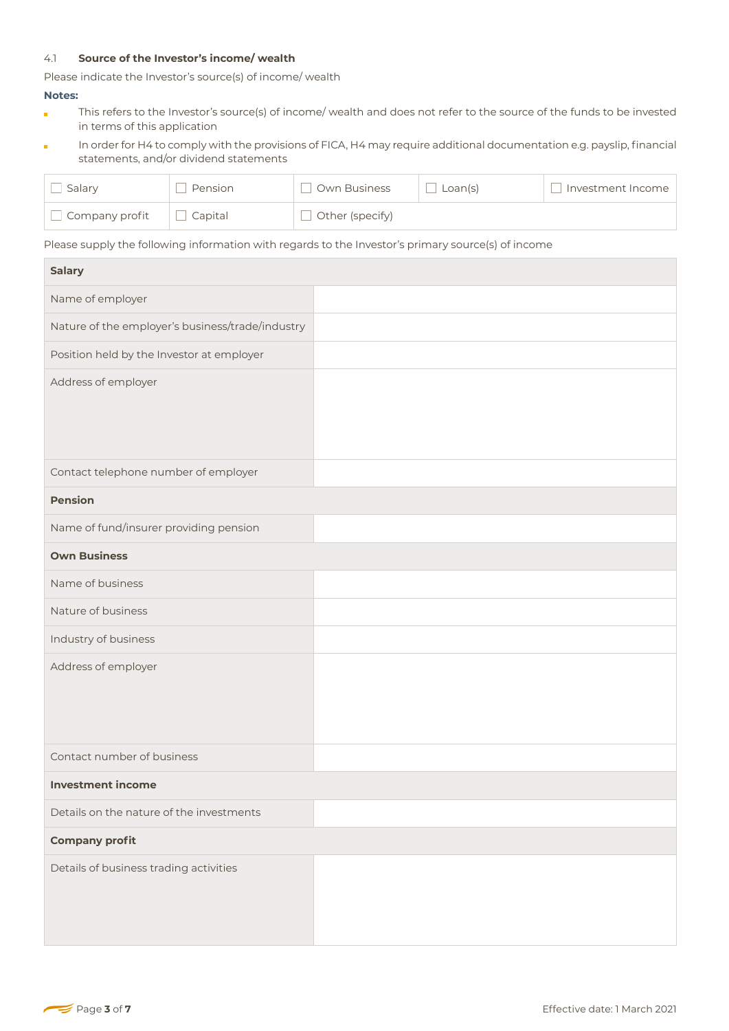## 4.1 **Source of the Investor's income/ wealth**

Please indicate the Investor's source(s) of income/ wealth

#### **Notes:**

- This refers to the Investor's source(s) of income/ wealth and does not refer to the source of the funds to be invested è in terms of this application
- In order for H4 to comply with the provisions of FICA, H4 may require additional documentation e.g. payslip, financial ò statements, and/or dividend statements

| Salary         | Pension | Own Business    | Loan(s) | Investment Income |
|----------------|---------|-----------------|---------|-------------------|
| Company profit | Capital | Other (specify) |         |                   |

Please supply the following information with regards to the Investor's primary source(s) of income

| <b>Salary</b>                                    |  |
|--------------------------------------------------|--|
| Name of employer                                 |  |
| Nature of the employer's business/trade/industry |  |
| Position held by the Investor at employer        |  |
| Address of employer                              |  |
| Contact telephone number of employer             |  |
| <b>Pension</b>                                   |  |
| Name of fund/insurer providing pension           |  |
| <b>Own Business</b>                              |  |
| Name of business                                 |  |
| Nature of business                               |  |
| Industry of business                             |  |
| Address of employer                              |  |
| Contact number of business                       |  |
| <b>Investment income</b>                         |  |
| Details on the nature of the investments         |  |
| <b>Company profit</b>                            |  |
| Details of business trading activities           |  |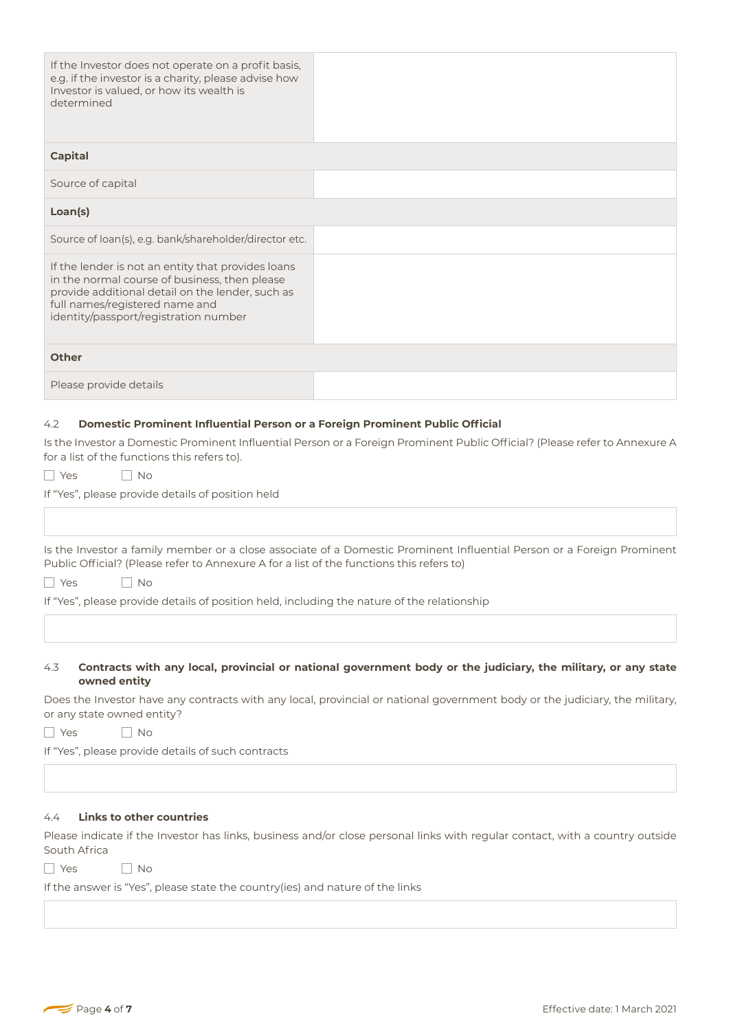| If the Investor does not operate on a profit basis,<br>e.g. if the investor is a charity, please advise how<br>Investor is valued, or how its wealth is<br>determined                                                              |                                                                                                                                                                                                                                              |
|------------------------------------------------------------------------------------------------------------------------------------------------------------------------------------------------------------------------------------|----------------------------------------------------------------------------------------------------------------------------------------------------------------------------------------------------------------------------------------------|
| <b>Capital</b>                                                                                                                                                                                                                     |                                                                                                                                                                                                                                              |
| Source of capital                                                                                                                                                                                                                  |                                                                                                                                                                                                                                              |
| Loan(s)                                                                                                                                                                                                                            |                                                                                                                                                                                                                                              |
| Source of loan(s), e.g. bank/shareholder/director etc.                                                                                                                                                                             |                                                                                                                                                                                                                                              |
| If the lender is not an entity that provides loans<br>in the normal course of business, then please<br>provide additional detail on the lender, such as<br>full names/registered name and<br>identity/passport/registration number |                                                                                                                                                                                                                                              |
| <b>Other</b>                                                                                                                                                                                                                       |                                                                                                                                                                                                                                              |
| Please provide details                                                                                                                                                                                                             |                                                                                                                                                                                                                                              |
| Domestic Prominent Influential Person or a Foreign Prominent Public Official<br>4.2<br>for a list of the functions this refers to).<br>  No<br>l Yes<br>If "Yes", please provide details of position held                          | Is the Investor a Domestic Prominent Influential Person or a Foreign Prominent Public Official? (Please refer to Annexure A                                                                                                                  |
| Public Official? (Please refer to Annexure A for a list of the functions this refers to)<br>No<br>∐ Yes<br>If "Yes", please provide details of position held, including the nature of the relationship                             | Is the Investor a family member or a close associate of a Domestic Prominent Influential Person or a Foreign Prominent                                                                                                                       |
| 4.3<br>owned entity                                                                                                                                                                                                                | Contracts with any local, provincial or national government body or the judiciary, the military, or any state<br>Does the Investor have any contracts with any local, provincial or national government body or the judiciary, the military, |

Does the Investor have any contracts with any local, provincial or national government body or the judiciary, the military, or any state owned entity?

YesNo

If "Yes", please provide details of such contracts

# 4.4 **Links to other countries**

Please indicate if the Investor has links, business and/or close personal links with regular contact, with a country outside South Africa

YesNo

If the answer is "Yes", please state the country(ies) and nature of the links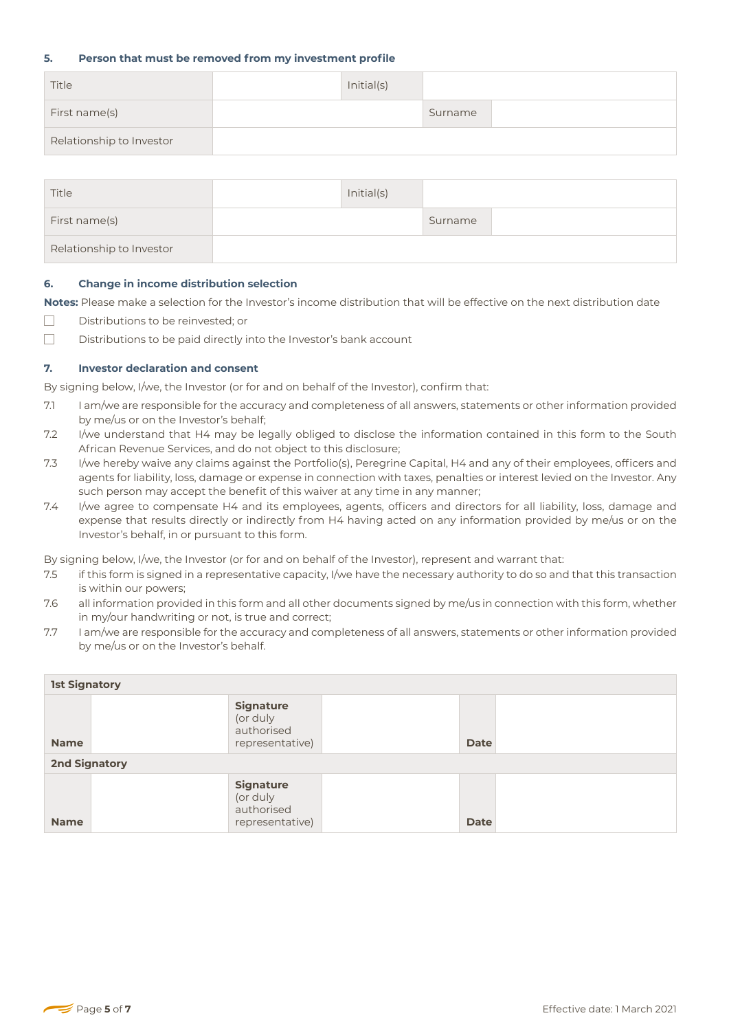## **5. Person that must be removed from my investment profile**

| Title                    | Initial(s) |         |  |
|--------------------------|------------|---------|--|
| First name(s)            |            | Surname |  |
| Relationship to Investor |            |         |  |

| Title                    | Initial(s) |         |  |
|--------------------------|------------|---------|--|
| First name(s)            |            | Surname |  |
| Relationship to Investor |            |         |  |

### **6. Change in income distribution selection**

**Notes:** Please make a selection for the Investor's income distribution that will be effective on the next distribution date

- $\Box$ Distributions to be reinvested; or
- $\Box$ Distributions to be paid directly into the Investor's bank account

# **7. Investor declaration and consent**

By signing below, I/we, the Investor (or for and on behalf of the Investor), confirm that:

- 7.1 I am/we are responsible for the accuracy and completeness of all answers, statements or other information provided by me/us or on the Investor's behalf;
- 7.2 I/we understand that H4 may be legally obliged to disclose the information contained in this form to the South African Revenue Services, and do not object to this disclosure;
- 7.3 I/we hereby waive any claims against the Portfolio(s), Peregrine Capital, H4 and any of their employees, officers and agents for liability, loss, damage or expense in connection with taxes, penalties or interest levied on the Investor. Any such person may accept the benefit of this waiver at any time in any manner;
- 7.4 I/we agree to compensate H4 and its employees, agents, officers and directors for all liability, loss, damage and expense that results directly or indirectly from H4 having acted on any information provided by me/us or on the Investor's behalf, in or pursuant to this form.

By signing below, I/we, the Investor (or for and on behalf of the Investor), represent and warrant that:

- 7.5 if this form is signed in a representative capacity, I/we have the necessary authority to do so and that this transaction is within our powers;
- 7.6 all information provided in this form and all other documents signed by me/us in connection with this form, whether in my/our handwriting or not, is true and correct;
- 7.7 I am/we are responsible for the accuracy and completeness of all answers, statements or other information provided by me/us or on the Investor's behalf.

| <b>1st Signatory</b> |                                                               |  |             |  |
|----------------------|---------------------------------------------------------------|--|-------------|--|
| <b>Name</b>          | <b>Signature</b><br>(or duly<br>authorised<br>representative) |  | <b>Date</b> |  |
| <b>2nd Signatory</b> |                                                               |  |             |  |
| <b>Name</b>          | <b>Signature</b><br>(or duly<br>authorised<br>representative) |  | <b>Date</b> |  |

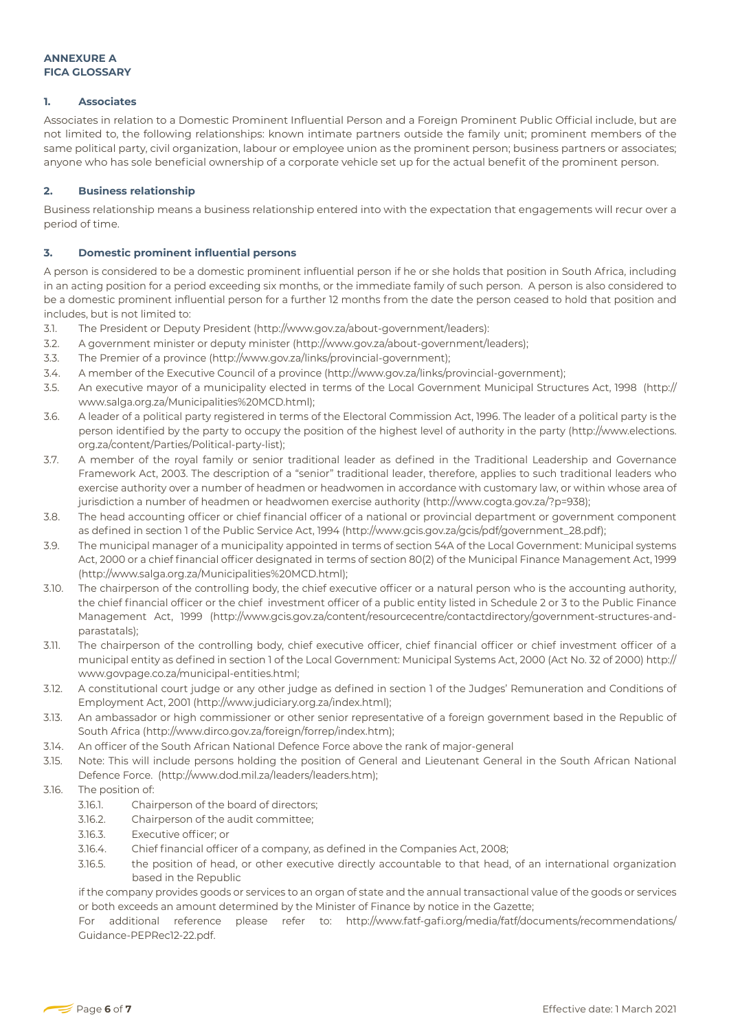## **1. Associates**

Associates in relation to a Domestic Prominent Influential Person and a Foreign Prominent Public Official include, but are not limited to, the following relationships: known intimate partners outside the family unit; prominent members of the same political party, civil organization, labour or employee union as the prominent person; business partners or associates; anyone who has sole beneficial ownership of a corporate vehicle set up for the actual benefit of the prominent person.

# **2. Business relationship**

Business relationship means a business relationship entered into with the expectation that engagements will recur over a period of time.

# **3. Domestic prominent influential persons**

A person is considered to be a domestic prominent influential person if he or she holds that position in South Africa, including in an acting position for a period exceeding six months, or the immediate family of such person. A person is also considered to be a domestic prominent influential person for a further 12 months from the date the person ceased to hold that position and includes, but is not limited to:

- 3.1. The President or Deputy President (http://www.gov.za/about-government/leaders):
- 3.2. A government minister or deputy minister (http://www.gov.za/about-government/leaders);
- 3.3. The Premier of a province (http://www.gov.za/links/provincial-government);
- 3.4. A member of the Executive Council of a province (http://www.gov.za/links/provincial-government);
- 3.5. An executive mayor of a municipality elected in terms of the Local Government Municipal Structures Act, 1998 (http:// www.salga.org.za/Municipalities%20MCD.html);
- 3.6. A leader of a political party registered in terms of the Electoral Commission Act, 1996. The leader of a political party is the person identified by the party to occupy the position of the highest level of authority in the party (http://www.elections. org.za/content/Parties/Political-party-list);
- 3.7. A member of the royal family or senior traditional leader as defined in the Traditional Leadership and Governance Framework Act, 2003. The description of a "senior" traditional leader, therefore, applies to such traditional leaders who exercise authority over a number of headmen or headwomen in accordance with customary law, or within whose area of jurisdiction a number of headmen or headwomen exercise authority (http://www.cogta.gov.za/?p=938);
- 3.8. The head accounting officer or chief financial officer of a national or provincial department or government component as defined in section 1 of the Public Service Act, 1994 (http://www.gcis.gov.za/gcis/pdf/government\_28.pdf);
- 3.9. The municipal manager of a municipality appointed in terms of section 54A of the Local Government: Municipal systems Act, 2000 or a chief financial officer designated in terms of section 80(2) of the Municipal Finance Management Act, 1999 (http://www.salga.org.za/Municipalities%20MCD.html);
- 3.10. The chairperson of the controlling body, the chief executive officer or a natural person who is the accounting authority, the chief financial officer or the chief investment officer of a public entity listed in Schedule 2 or 3 to the Public Finance Management Act, 1999 (http://www.gcis.gov.za/content/resourcecentre/contactdirectory/government-structures-andparastatals);
- 3.11. The chairperson of the controlling body, chief executive officer, chief financial officer or chief investment officer of a municipal entity as defined in section 1 of the Local Government: Municipal Systems Act, 2000 (Act No. 32 of 2000) http:// www.govpage.co.za/municipal-entities.html;
- 3.12. A constitutional court judge or any other judge as defined in section 1 of the Judges' Remuneration and Conditions of Employment Act, 2001 (http://www.judiciary.org.za/index.html);
- 3.13. An ambassador or high commissioner or other senior representative of a foreign government based in the Republic of South Africa (http://www.dirco.gov.za/foreign/forrep/index.htm);
- 3.14. An officer of the South African National Defence Force above the rank of major-general
- 3.15. Note: This will include persons holding the position of General and Lieutenant General in the South African National Defence Force. (http://www.dod.mil.za/leaders/leaders.htm);

# 3.16. The position of:

- 3.16.1. Chairperson of the board of directors;
- 3.16.2. Chairperson of the audit committee;
- 3.16.3. Executive officer; or
- 3.16.4. Chief financial officer of a company, as defined in the Companies Act, 2008;
- 3.16.5. the position of head, or other executive directly accountable to that head, of an international organization based in the Republic

if the company provides goods or services to an organ of state and the annual transactional value of the goods or services or both exceeds an amount determined by the Minister of Finance by notice in the Gazette;

For additional reference please refer to: http://www.fatf-gafi.org/media/fatf/documents/recommendations/ Guidance-PEPRec12-22.pdf.